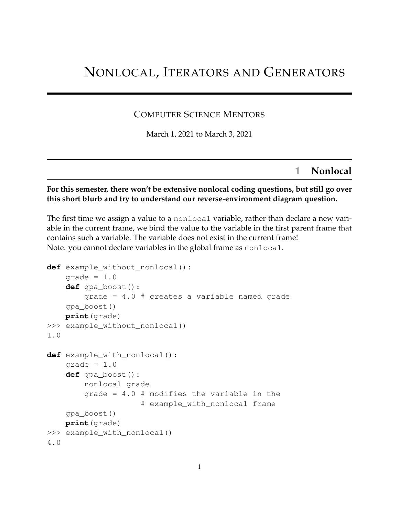# NONLOCAL, ITERATORS AND GENERATORS

### COMPUTER SCIENCE MENTORS

March 1, 2021 to March 3, 2021

## **1 Nonlocal**

#### **For this semester, there won't be extensive nonlocal coding questions, but still go over this short blurb and try to understand our reverse-environment diagram question.**

The first time we assign a value to a nonlocal variable, rather than declare a new variable in the current frame, we bind the value to the variable in the first parent frame that contains such a variable. The variable does not exist in the current frame! Note: you cannot declare variables in the global frame as nonlocal.

```
def example_without_nonlocal():
    qrade = 1.0def gpa_boost():
        grade = 4.0 # creates a variable named grade
    gpa_boost()
   print(grade)
>>> example_without_nonlocal()
1.0
def example_with_nonlocal():
    qrade = 1.0def gpa_boost():
        nonlocal grade
        grade = 4.0 # modifies the variable in the
                    # example_with_nonlocal frame
    gpa_boost()
   print(grade)
>>> example_with_nonlocal()
4.0
```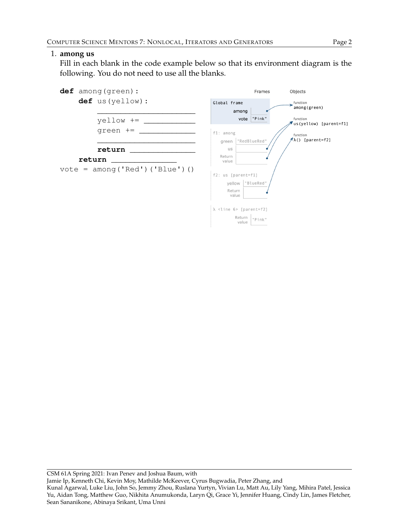#### 1. **among us**

Fill in each blank in the code example below so that its environment diagram is the following. You do not need to use all the blanks.

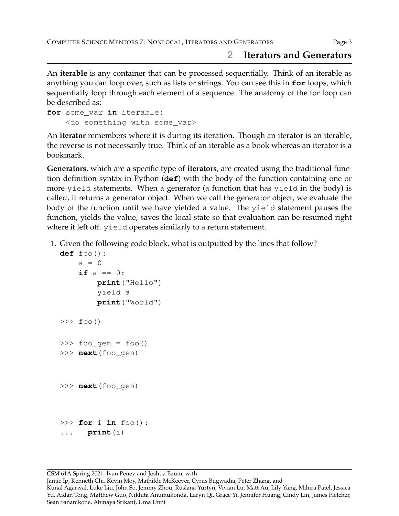## **2 Iterators and Generators**

An **iterable** is any container that can be processed sequentially. Think of an iterable as anything you can loop over, such as lists or strings. You can see this in **for** loops, which sequentially loop through each element of a sequence. The anatomy of the for loop can be described as:

```
for some_var in iterable:
    <do something with some_var>
```
An **iterator** remembers where it is during its iteration. Though an iterator is an iterable, the reverse is not necessarily true. Think of an iterable as a book whereas an iterator is a bookmark.

**Generators**, which are a specific type of **iterators**, are created using the traditional function definition syntax in Python (**def**) with the body of the function containing one or more yield statements. When a generator (a function that has yield in the body) is called, it returns a generator object. When we call the generator object, we evaluate the body of the function until we have yielded a value. The yield statement pauses the function, yields the value, saves the local state so that evaluation can be resumed right where it left off. yield operates similarly to a return statement.

1. Given the following code block, what is outputted by the lines that follow?

```
def foo():
    a = 0if a == 0:
        print("Hello")
        yield a
        print("World")
\gg foo()
>>> foo_gen = foo()
>>> next(foo_gen)
>>> next(foo_gen)
>>> for i in foo():
... print(i)
```
CSM 61A Spring 2021: Ivan Penev and Joshua Baum, with

Jamie Ip, Kenneth Chi, Kevin Moy, Mathilde McKeever, Cyrus Bugwadia, Peter Zhang, and

Kunal Agarwal, Luke Liu, John So, Jemmy Zhou, Ruslana Yurtyn, Vivian Lu, Matt Au, Lily Yang, Mihira Patel, Jessica Yu, Aidan Tong, Matthew Guo, Nikhita Anumukonda, Laryn Qi, Grace Yi, Jennifer Huang, Cindy Lin, James Fletcher, Sean Sananikone, Abinaya Srikant, Uma Unni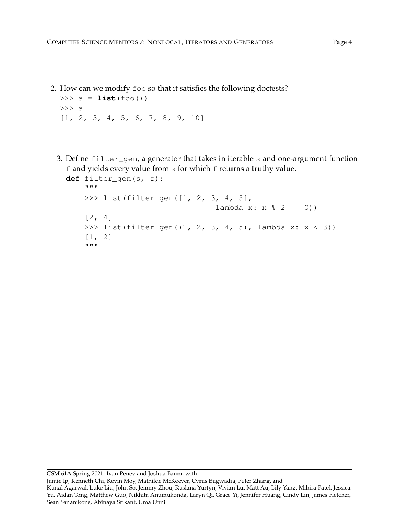2. How can we modify foo so that it satisfies the following doctests?

```
\Rightarrow a = list(foo())
>>> a
[1, 2, 3, 4, 5, 6, 7, 8, 9, 10]
```
3. Define filter\_gen, a generator that takes in iterable s and one-argument function f and yields every value from s for which f returns a truthy value.

```
def filter_gen(s, f):
```
"""

```
>>> list(filter_gen([1, 2, 3, 4, 5],
                            lambda x: x % 2 == 0)[2, 4]
>>> list(filter_gen((1, 2, 3, 4, 5), lambda x: x < 3))
[1, 2]
"""
```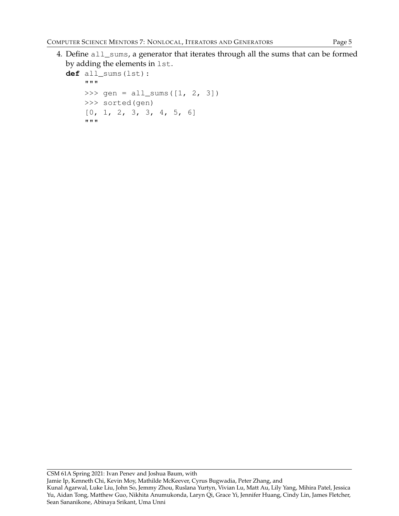4. Define all\_sums, a generator that iterates through all the sums that can be formed by adding the elements in lst.

```
def all_sums(lst):
    """
    >>> gen = all_sums([1, 2, 3])
    >>> sorted(gen)
    [0, 1, 2, 3, 3, 4, 5, 6]"""
```